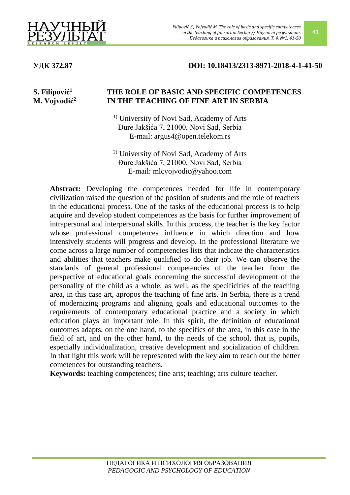

## **УДК 372.87 DOI: 10.18413/2313-8971-2018-4-1-41-50**

#### **S. Filipović 1 M. Vojvodić<sup>2</sup> THE ROLE OF BASIC AND SPECIFIC COMPETENCES IN THE TEACHING OF FINE ART IN SERBIA**

1) University of Novi Sad, Academy of Arts Đure Jakšića 7, 21000, Novi Sad, Serbia E-mail: argus4@open.telekom.rs

2) University of Novi Sad, Academy of Arts Đure Jakšića 7, 21000, Novi Sad, Serbia E-mail: mlcvojvodic@yahoo.com

**Abstract:** Developing the competences needed for life in contemporary civilization raised the question of the position of students and the role of teachers in the educational process. One of the tasks of the educational process is to help acquire and develop student competences as the basis for further improvement of intrapersonal and interpersonal skills. In this process, the teacher is the key factor whose professional competences influence in which direction and how intensively students will progress and develop. In the professional literature we come across a large number of competencies lists that indicate the characteristics and abilities that teachers make qualified to do their job. We can observe the standards of general professional competencies of the teacher from the perspective of educational goals concerning the successful development of the personality of the child as a whole, as well, as the specificities of the teaching area, in this case art, apropos the teaching of fine arts. In Serbia, there is a trend of modernizing programs and aligning goals and educational outcomes to the requirements of contemporary educational practice and a society in which education plays an important role. In this spirit, the definition of educational outcomes adapts, on the one hand, to the specifics of the area, in this case in the field of art, and on the other hand, to the needs of the school, that is, pupils, especially individualization, creative development and socialization of children. In that light this work will be represented with the key aim to reach out the better cometences for outstanding teachers.

**Keywords:** teaching competences; fine arts; teaching; arts culture teacher.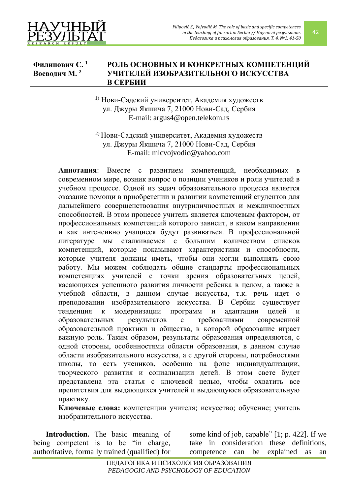

42

#### **Филипович С. 1 Воеводич М. 2 РОЛЬ ОСНОВНЫХ И КОНКРЕТНЫХ КОМПЕТЕНЦИЙ УЧИТЕЛЕЙ ИЗОБРАЗИТЕЛЬНОГО ИСКУССТВА В СЕРБИИ**

1) Нови-Садский университет, Академия художеств ул. Джуры Якшича 7, 21000 Нови-Сад, Сербия E-mail: argus4@open.telekom.rs

2) Нови-Садский университет, Академия художеств ул. Джуры Якшича 7, 21000 Нови-Сад, Сербия E-mail: mlcvojvodic@yahoo.com

**Аннотация**: Вместе с развитием компетенций, необходимых в современном мире, возник вопрос о позиции учеников и роли учителей в учебном процессе. Одной из задач образовательного процесса является оказание помощи в приобретении и развитии компетенций студентов для дальнейшего совершенствования внутриличностных и межличностных способностей. В этом процессе учитель является ключевым фактором, от профессиональных компетенций которого зависит, в каком направлении и как интенсивно учащиеся будут развиваться. В профессиональной литературе мы сталкиваемся с большим количеством списков компетенций, которые показывают характеристики и способности, которые учителя должны иметь, чтобы они могли выполнять свою работу. Мы можем соблюдать общие стандарты профессиональных компетенциях учителей с точки зрения образовательных целей, касающихся успешного развития личности ребенка в целом, а также в учебной области, в данном случае искусства, т.к. речь идет о преподовании изобразительного искусства. В Сербии существует тенденция к модернизации программ и адаптации целей и образовательных результатов с требованиями современной образовательной практики и общества, в которой образование играет важную роль. Таким образом, результаты образования определяются, с одной стороны, особенностями области образования, в данном случае области изобразительного искусства, а с другой стороны, потребностями школы, то есть учеников, особенно на фоне индивидуализации, творческого развития и социализации детей. В этом свете будет представлена эта статья с ключевой целью, чтобы охватить все препятствия для выдающихся учителей и выдающуюся образовательную практику.

**Ключевые слова:** компетенции учителя; искусство; обучение; учитель изобразительного искусства.

**Introduction.** The basic meaning of being competent is to be "in charge, authoritative, formally trained (qualified) for

some kind of job, capable" [1; p. 422]. If we take in consideration these definitions, competence can be explained as an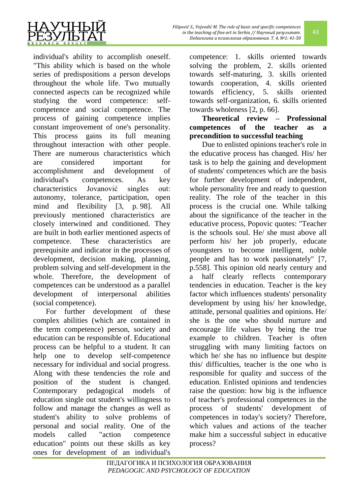

43

individual's ability to accomplish oneself. "This ability which is based on the whole series of predispositions a person develops throughout the whole life. Two mutually connected aspects can be recognized while studying the word competence: selfcompetence and social competence. The process of gaining competence implies constant improvement of one's personality. This process gains its full meaning throughout interaction with other people. There are numerous characteristics which are considered important for accomplishment and development of individual's competences. As key characteristics Jovanović singles out: autonomy, tolerance, participation, open mind and flexibility [3, p. 98]. All previously mentioned characteristics are closely interwined and conditioned. They are built in both earlier mentioned aspects of competence. These characteristics are prerequisite and indicator in the processes of development, decision making, planning, problem solving and self-development in the whole. Therefore, the development of competences can be understood as a parallel development of interpersonal abilities (social competence).

For further development of these complex abilities (which are contained in the term competence) person, society and education can be responsible of. Educational process can be helpful to a student. It can help one to develop self-competence necessary for individual and social progress. Along with these tendencies the role and position of the student is changed. Contemporary pedagogical models of education single out student's willingness to follow and manage the changes as well as student's ability to solve problems of personal and social reality. One of the models called "action competence education" points out these skills as key ones for development of an individual's

competence: 1. skills oriented towards solving the problem, 2. skills oriented towards self-maturing, 3. skills oriented towards cooperation, 4. skills oriented towards efficiency, 5. skills oriented towards self-organization, 6. skills oriented towards wholeness [2, p. 66].

**Theoretical review – Professional competences of the teacher as a precondition to successful teaching**

Due to enlisted opinions teacher's role in the educative process has changed. His/ her task is to help the gaining and development of students' competences which are the basis for further development of independent, whole personality free and ready to question reality. The role of the teacher in this process is the crucial one. While talking about the significance of the teacher in the educative process, Popovic quotes: "Teacher is the schools soul. He/ she must above all perform his/ her job properly, educate youngsters to become intelligent, noble people and has to work passionately" [7, p.558]. This opinion old nearly century and a half clearly reflects contemporary tendencies in education. Teacher is the key factor which influences students' personality development by using his/ her knowledge, attitude, personal qualities and opinions. He/ she is the one who should nurture and encourage life values by being the true example to children. Teacher is often struggling with many limiting factors on which he/ she has no influence but despite this/ difficulties, teacher is the one who is responsible for quality and success of the education. Enlisted opinions and tendencies raise the question: how big is the influence of teacher's professional competences in the process of students' development of competences in today's society? Therefore, which values and actions of the teacher make him a successful subject in educative process?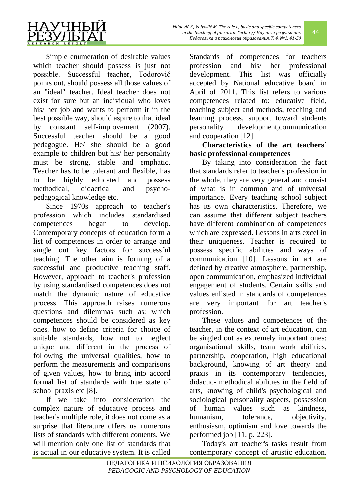Simple enumeration of desirable values which teacher should possess is just not possible. Successful teacher, Todorović points out, should possess all those values of an "ideal" teacher. Ideal teacher does not exist for sure but an individual who loves his/ her job and wants to perform it in the best possible way, should aspire to that ideal by constant self-improvement (2007). Successful teacher should be a good pedagogue. He/ she should be a good example to children but his/ her personality must be strong, stable and emphatic. Teacher has to be tolerant and flexible, has to be highly educated and possess methodical, didactical and psychopedagogical knowledge etc.

Since 1970s approach to teacher's profession which includes standardised competences began to develop. Contemporary concepts of education form a list of competences in order to arrange and single out key factors for successful teaching. The other aim is forming of a successful and productive teaching staff. However, approach to teacher's profession by using standardised competences does not match the dynamic nature of educative process. This approach raises numerous questions and dilemmas such as: which competences should be considered as key ones, how to define criteria for choice of suitable standards, how not to neglect unique and different in the process of following the universal qualities, how to perform the measurements and comparisons of given values, how to bring into accord formal list of standards with true state of school praxis etc [8].

If we take into consideration the complex nature of educative process and teacher's multiple role, it does not come as a surprise that literature offers us numerous lists of standards with different contents. We will mention only one list of standards that is actual in our educative system. It is called Standards of competences for teachers profession and his/ her professional development. This list was officially accepted by National educative board in April of 2011. This list refers to various competences related to: educative field, teaching subject and methods, teaching and learning process, support toward students personality development,communication and cooperation [12].

## **Characteristics of the art teachers` basic professional competences**

By taking into consideration the fact that standards refer to teacher's profession in the whole, they are very general and consist of what is in common and of universal importance. Every teaching school subject has its own characteristics. Therefore, we can assume that different subject teachers have different combination of competences which are expressed. Lessons in arts excel in their uniqueness. Teacher is required to possess specific abilities and ways of communication [10]. Lessons in art are defined by creative atmosphere, partnership, open communication, emphasized individual engagement of students. Certain skills and values enlisted in standards of competences are very important for art teacher's profession.

These values and competences of the teacher, in the context of art education, can be singled out as extremely important ones: organisational skills, team work abilities, partnership, cooperation, high educational background, knowing of art theory and praxis in its contemporary tendencies, didactic- methodical abilities in the field of arts, knowing of child's psychological and sociological personality aspects, possession of human values such as kindness, humanism, tolerance, objectivity, enthusiasm, optimism and love towards the performed job [11, p. 223].

Today's art teacher's tasks result from contemporary concept of artistic education.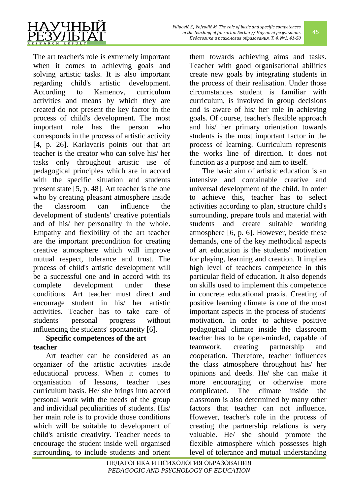

The art teacher's role is extremely important when it comes to achieving goals and solving artistic tasks. It is also important regarding child's artistic development. According to Kamenov, curriculum activities and means by which they are created do not present the key factor in the process of child's development. The most important role has the person who corresponds in the process of artistic activity [4, p. 26]. Karlavaris points out that art teacher is the creator who can solve his/ her tasks only throughout artistic use of pedagogical principles which are in accord with the specific situation and students present state [5, p. 48]. Art teacher is the one who by creating pleasant atmosphere inside the classroom can influence the development of students' creative potentials and of his/ her personality in the whole. Empathy and flexibility of the art teacher are the important precondition for creating creative atmosphere which will improve mutual respect, tolerance and trust. The process of child's artistic development will be a successful one and in accord with its complete development under these conditions. Art teacher must direct and encourage student in his/ her artistic activities. Teacher has to take care of students' personal progress without influencing the students' spontaneity [6].

# **Specific competences of the art teacher**

Art teacher can be considered as an organizer of the artistic activities inside educational process. When it comes to organisation of lessons, teacher uses curriculum basis. He/ she brings into accord personal work with the needs of the group and individual peculiarities of students. His/ her main role is to provide those conditions which will be suitable to development of child's artistic creativity. Teacher needs to encourage the student inside well organised surrounding, to include students and orient them towards achieving aims and tasks. Teacher with good organisational abilities create new goals by integrating students in the process of their realisation. Under those circumstances student is familiar with curriculum, is involved in group decisions and is aware of his/ her role in achieving goals. Of course, teacher's flexible approach and his/ her primary orientation towards students is the most important factor in the process of learning. Curriculum represents the works line of direction. It does not function as a purpose and aim to itself.

The basic aim of artistic education is an intensive and containable creative and universal development of the child. In order to achieve this, teacher has to select activities according to plan, structure child's surrounding, prepare tools and material with students and create suitable working atmosphere [6, p. 6]. However, beside these demands, one of the key methodical aspects of art education is the students' motivation for playing, learning and creation. It implies high level of teachers competence in this particular field of education. It also depends on skills used to implement this competence in concrete educational praxis. Creating of positive learning climate is one of the most important aspects in the process of students' motivation. In order to achieve positive pedagogical climate inside the classroom teacher has to be open-minded, capable of teamwork, creating partnership and cooperation. Therefore, teacher influences the class atmosphere throughout his/ her opinions and deeds. He/ she can make it more encouraging or otherwise more complicated. The climate inside the classroom is also determined by many other factors that teacher can not influence. However, teacher's role in the process of creating the partnership relations is very valuable. He/ she should promote the flexible atmosphere which possesses high level of tolerance and mutual understanding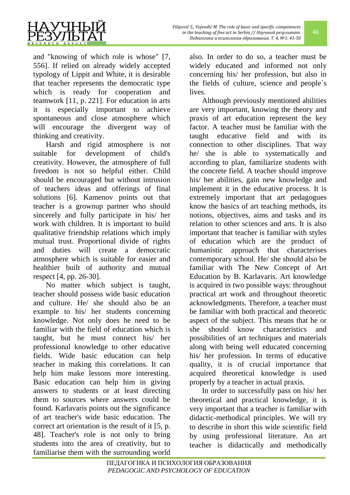

and "knowing of which role is whose" [7, 556]. If relied on already widely accepted typology of Lippit and White, it is desirable that teacher represents the democratic type which is ready for cooperation and teamwork [11, p. 221]. For education in arts it is especially important to achieve spontaneous and close atmosphere which will encourage the divergent way of thinking and creativity.

Harsh and rigid atmosphere is not suitable for development of child's creativity. However, the atmosphere of full freedom is not so helpful either. Child should be encouraged but without intrusion of teachers ideas and offerings of final solutions [6]. Kamenov points out that teacher is a grownup partner who should sincerely and fully participate in his/ her work with children. It is important to build qualitative friendship relations which imply mutual trust. Proportional divide of rights and duties will create a democratic atmosphere which is suitable for easier and healthier built of authority and mutual respect [4, pp. 26-30].

No matter which subject is taught, teacher should possess wide basic education and culture. He/ she should also be an example to his/ her students concerning knowledge. Not only does he need to be familiar with the field of education which is taught, but he must connect his/ her professional knowledge to other educative fields. Wide basic education can help teacher in making this correlations. It can help him make lessons more interesting. Basic education can help him in giving answers to students or at least directing them to sources where answers could be found. Karlavaris points out the significance of art teacher's wide basic education. The correct art orientation is the result of it [5, p. 48]. Teacher's role is not only to bring students into the area of creativity, but to familiarise them with the surrounding world also. In order to do so, a teacher must be widely educated and informed not only concerning his/ her profession, but also in the fields of culture, science and people`s lives.

Although previously mentioned abilities are very important, knowing the theory and praxis of art education represent the key factor. A teacher must be familiar with the taught educative field and with its connection to other disciplines. That way he/ she is able to systematically and according to plan, familiarize students with the concrete field. A teacher should improve his/ her abilities, gain new knowledge and implement it in the educative process. It is extremely important that art pedagogues know the basics of art teaching methods, its notions, objectives, aims and tasks and its relation to other sciences and arts. It is also important that teacher is familiar with styles of education which are the product of humanistic approach that characterises contemporary school. He/ she should also be familiar with The New Concept of Art Education by B. Karlavaris. Art knowledge is acquired in two possible ways: throughout practical art work and throughout theoretic acknowledgments. Therefore, a teacher must be familiar with both practical and theoretic aspect of the subject. This means that he or she should know characteristics and possibilities of art techniques and materials along with being well educated concerning his/ her profession. In terms of educative quality, it is of crucial importance that acquired theoretical knowledge is used properly by a teacher in actual praxis.

In order to successfully pass on his/ her theoretical and practical knowledge, it is very important that a teacher is familiar with didactic-methodical principles. We will try to describe in short this wide scientific field by using professional literature. An art teacher is didactically and methodically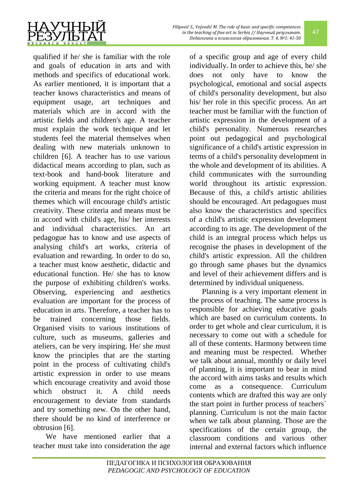

qualified if he/ she is familiar with the role

and goals of education in arts and with methods and specifics of educational work. As earlier mentioned, it is important that a teacher knows characteristics and means of equipment usage, art techniques and materials which are in accord with the artistic fields and children's age. A teacher must explain the work technique and let students feel the material themselves when dealing with new materials unknown to children [6]. A teacher has to use various didactical means according to plan, such as text-book and hand-book literature and working equipment. A teacher must know the criteria and means for the right choice of themes which will encourage child's artistic creativity. These criteria and means must be in accord with child's age, his/ her interests and individual characteristics. An art pedagogue has to know and use aspects of analysing child's art works, criteria of evaluation and rewarding. In order to do so, a teacher must know aesthetic, didactic and educational function. He/ she has to know the purpose of exhibiting children's works. Observing, experiencing and aesthetics evaluation are important for the process of education in arts. Therefore, a teacher has to be trained concerning those fields. Organised visits to various institutions of culture, such as museums, galleries and ateliers, can be very inspiring. He/ she must know the principles that are the starting point in the process of cultivating child's artistic expression in order to use means which encourage creativity and avoid those which obstruct it. A child needs encouragement to deviate from standards and try something new. On the other hand, there should be no kind of interference or obtrusion [6].

We have mentioned earlier that a teacher must take into consideration the age of a specific group and age of every child individually. In order to achieve this, he/ she does not only have to know the psychological, emotional and social aspects of child's personality development, but also his/ her role in this specific process. An art teacher must be familiar with the function of artistic expression in the development of a child's personality. Numerous researches point out pedagogical and psychological significance of a child's artistic expression in terms of a child's personality development in the whole and development of its abilities. A child communicates with the surrounding world throughout its artistic expression. Because of this, a child's artistic abilities should be encouraged. Art pedagogues must also know the characteristics and specifics of a child's artistic expression development according to its age. The development of the child is an integral process which helps us recognise the phases in development of the child's artistic expression. All the children go through same phases but the dynamics and level of their achievement differs and is determined by individual uniqueness.

Planning is a very important element in the process of teaching. The same process is responsible for achieving educative goals which are based on curriculum contents. In order to get whole and clear curriculum, it is necessary to come out with a schedule for all of these contents. Harmony between time and meaning must be respected. Whether we talk about annual, monthly or daily level of planning, it is important to bear in mind the accord with aims tasks and results which come as a consequence. Curriculum contents which are drafted this way are only the start point in further process of teachers` planning. Curriculum is not the main factor when we talk about planning. Those are the specifications of the certain group, the classroom conditions and various other internal and external factors which influence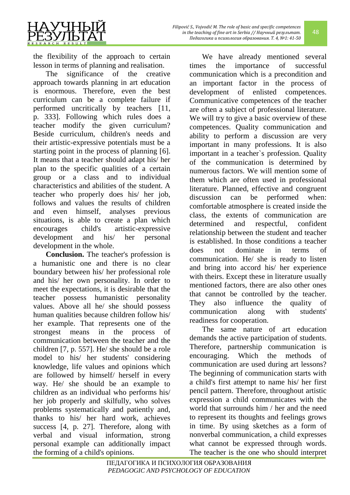the flexibility of the approach to certain lesson in terms of planning and realisation.

The significance of the creative approach towards planning in art education is enormous. Therefore, even the best curriculum can be a complete failure if performed uncritically by teachers [11, p. 333]. Following which rules does a teacher modify the given curriculum? Beside curriculum, children's needs and their artistic-expressive potentials must be a starting point in the process of planning [6]. It means that a teacher should adapt his/ her plan to the specific qualities of a certain group or a class and to individual characteristics and abilities of the student. A teacher who properly does his/ her job, follows and values the results of children and even himself, analyses previous situations, is able to create a plan which encourages child's artistic-expressive development and his/ her personal development in the whole.

**Conclusion.** The teacher's profession is a humanistic one and there is no clear boundary between his/ her professional role and his/ her own personality. In order to meet the expectations, it is desirable that the teacher possess humanistic personality values. Above all he/ she should possess human qualities because children follow his/ her example. That represents one of the strongest means in the process of communication between the teacher and the children [7, p. 557]. He/ she should be a role model to his/ her students' considering knowledge, life values and opinions which are followed by himself/ herself in every way. He/ she should be an example to children as an individual who performs his/ her job properly and skilfully, who solves problems systematically and patiently and, thanks to his/ her hard work, achieves success [4, p. 27]. Therefore, along with verbal and visual information, strong personal example can additionally impact the forming of a child's opinions.

We have already mentioned several times the importance of successful communication which is a precondition and an important factor in the process of development of enlisted competences. Communicative competences of the teacher are often a subject of professional literature. We will try to give a basic overview of these competences. Quality communication and ability to perform a discussion are very important in many professions. It is also important in a teacher`s profession. Quality of the communication is determined by numerous factors. We will mention some of them which are often used in professional literature. Planned, effective and congruent discussion can be performed when: comfortable atmosphere is created inside the class, the extents of communication are determined and respectful, confident relationship between the student and teacher is established. In those conditions a teacher does not dominate in terms of communication. He/ she is ready to listen and bring into accord his/ her experience with theirs. Except these in literature usually mentioned factors, there are also other ones that cannot be controlled by the teacher. They also influence the quality of communication along with students' readiness for cooperation.

The same nature of art education demands the active participation of students. Therefore, partnership communication is encouraging. Which the methods of communication are used during art lessons? The beginning of communication starts with a child's first attempt to name his/ her first pencil pattern. Therefore, throughout artistic expression a child communicates with the world that surrounds him / her and the need to represent its thoughts and feelings grows in time. By using sketches as a form of nonverbal communication, a child expresses what cannot be expressed through words. The teacher is the one who should interpret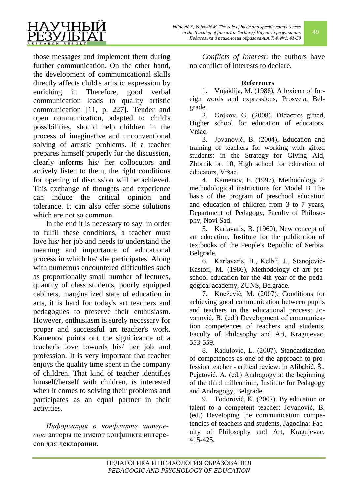

those messages and implement them during further communication. On the other hand, the development of communicational skills directly affects child's artistic expression by enriching it. Therefore, good verbal communication leads to quality artistic communication [11, p. 227]. Tender and open communication, adapted to child's possibilities, should help children in the process of imaginative and unconventional solving of artistic problems. If a teacher prepares himself properly for the discussion, clearly informs his/ her collocutors and actively listen to them, the right conditions for opening of discussion will be achieved. This exchange of thoughts and experience can induce the critical opinion and tolerance. It can also offer some solutions which are not so common.

In the end it is necessary to say: in order to fulfil these conditions, a teacher must love his/ her job and needs to understand the meaning and importance of educational process in which he/ she participates. Along with numerous encountered difficulties such as proportionally small number of lectures, quantity of class students, poorly equipped cabinets, marginalized state of education in arts, it is hard for today's art teachers and pedagogues to preserve their enthusiasm. However, enthusiasm is surely necessary for proper and successful art teacher's work. Kamenov points out the significance of a teacher's love towards his/ her job and profession. It is very important that teacher enjoys the quality time spent in the company of children. That kind of teacher identifies himself/herself with children, is interested when it comes to solving their problems and participates as an equal partner in their activities.

*Информация о конфликте интересов:* авторы не имеют конфликта интересов для декларации.

*Conflicts of Interest*: the authors have no conflict of interests to declare.

49

## **References**

1. Vujaklija, M. (1986), A lexicon of foreign words and expressions, Prosveta, Belgrade.

2. Gojkov, G. (2008). Didactics gifted, Higher school for education of educators, Vršac.

3. Jovanović, B. (2004), Education and training of teachers for working with gifted students: in the Strategy for Giving Aid, Zbornik br. 10, High school for education of educators, Vršac.

4. Kamenov, E. (1997), Methodology 2: methodological instructions for Model B The basis of the program of preschool education and education of children from 3 to 7 years, Department of Pedagogy, Faculty of Philosophy, Novi Sad.

5. Karlavaris, B. (1960), New concept of art education, Institute for the publication of textbooks of the People's Republic of Serbia, Belgrade.

6. Karlavaris, B., Kelbli, J., Stanojević-Kastori, M. (1986), Methodology of art preschool education for the 4th year of the pedagogical academy, ZUNS, Belgrade.

7. Knežević, M. (2007). Conditions for achieving good communication between pupils and teachers in the educational process: Jovanović, B. (ed.) Development of communication competences of teachers and students, Faculty of Philosophy and Art, Kragujevac, 553-559.

8. Radulović, L. (2007). Standardization of competences as one of the approach to profession teacher - critical review: in Alibabić, Š., Pejatović, A. (ed.) Andragogy at the beginning of the third millennium, Institute for Pedagogy and Andragogy, Belgrade.

9. Todorović, K. (2007). By education or talent to a competent teacher: Jovanović, B. (ed.) Developing the communication competencies of teachers and students, Jagodina: Faculty of Philosophy and Art, Kragujevac, 415-425.